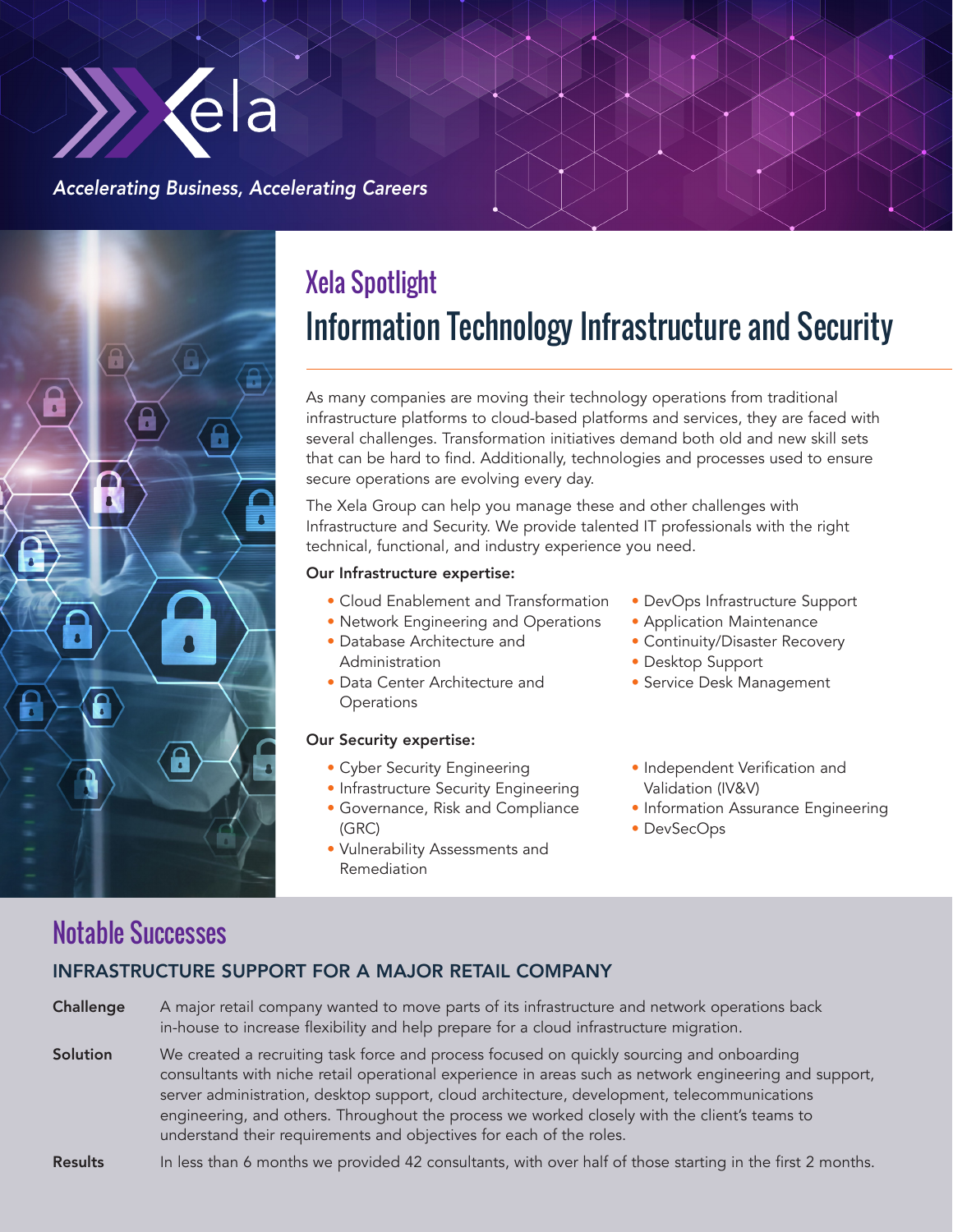

### *Accelerating Business, Accelerating Careers*



# Xela Spotlight Information Technology Infrastructure and Security

As many companies are moving their technology operations from traditional infrastructure platforms to cloud-based platforms and services, they are faced with several challenges. Transformation initiatives demand both old and new skill sets that can be hard to find. Additionally, technologies and processes used to ensure secure operations are evolving every day.

The Xela Group can help you manage these and other challenges with Infrastructure and Security. We provide talented IT professionals with the right technical, functional, and industry experience you need.

#### Our Infrastructure expertise:

- Cloud Enablement and Transformation
- Network Engineering and Operations
- Database Architecture and Administration
- Data Center Architecture and **Operations**

#### Our Security expertise:

- Cyber Security Engineering
- Infrastructure Security Engineering • Governance, Risk and Compliance
- (GRC)
- Vulnerability Assessments and Remediation
- DevOps Infrastructure Support
- Application Maintenance
- Continuity/Disaster Recovery
- Desktop Support
- Service Desk Management
- Independent Verification and Validation (IV&V)
- Information Assurance Engineering
- DevSecOps

## Notable Successes

### INFRASTRUCTURE SUPPORT FOR A MAJOR RETAIL COMPANY

**Challenge** A major retail company wanted to move parts of its infrastructure and network operations back in-house to increase flexibility and help prepare for a cloud infrastructure migration.

Solution We created a recruiting task force and process focused on quickly sourcing and onboarding consultants with niche retail operational experience in areas such as network engineering and support, server administration, desktop support, cloud architecture, development, telecommunications engineering, and others. Throughout the process we worked closely with the client's teams to understand their requirements and objectives for each of the roles.

#### Results In less than 6 months we provided 42 consultants, with over half of those starting in the first 2 months.